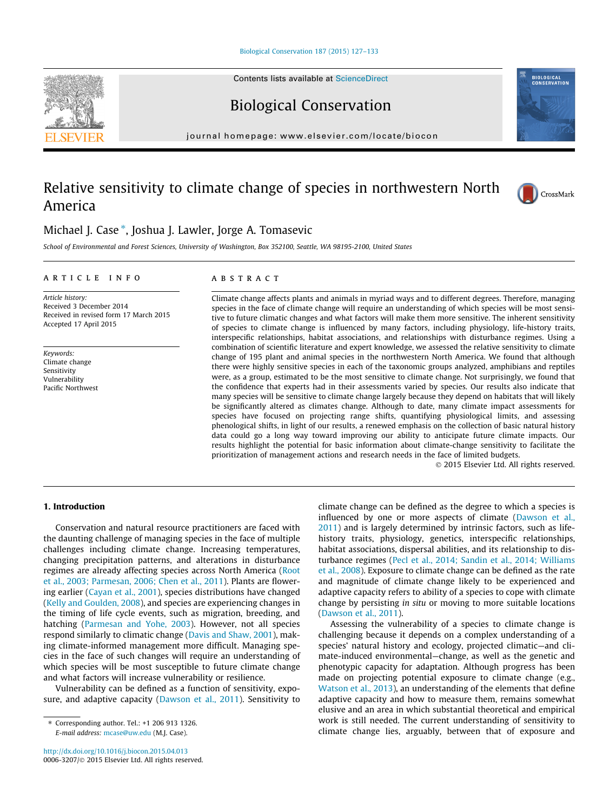#### [Biological Conservation 187 \(2015\) 127–133](http://dx.doi.org/10.1016/j.biocon.2015.04.013)

Contents lists available at [ScienceDirect](http://www.sciencedirect.com/science/journal/00063207)

Biological Conservation

journal homepage: [www.elsevier.com/locate/biocon](http://www.elsevier.com/locate/biocon)

# Relative sensitivity to climate change of species in northwestern North America



School of Environmental and Forest Sciences, University of Washington, Box 352100, Seattle, WA 98195-2100, United States

#### article info

Article history: Received 3 December 2014 Received in revised form 17 March 2015 Accepted 17 April 2015

Keywords: Climate change Sensitivity Vulnerability Pacific Northwest

## **ABSTRACT**

Climate change affects plants and animals in myriad ways and to different degrees. Therefore, managing species in the face of climate change will require an understanding of which species will be most sensitive to future climatic changes and what factors will make them more sensitive. The inherent sensitivity of species to climate change is influenced by many factors, including physiology, life-history traits, interspecific relationships, habitat associations, and relationships with disturbance regimes. Using a combination of scientific literature and expert knowledge, we assessed the relative sensitivity to climate change of 195 plant and animal species in the northwestern North America. We found that although there were highly sensitive species in each of the taxonomic groups analyzed, amphibians and reptiles were, as a group, estimated to be the most sensitive to climate change. Not surprisingly, we found that the confidence that experts had in their assessments varied by species. Our results also indicate that many species will be sensitive to climate change largely because they depend on habitats that will likely be significantly altered as climates change. Although to date, many climate impact assessments for species have focused on projecting range shifts, quantifying physiological limits, and assessing phenological shifts, in light of our results, a renewed emphasis on the collection of basic natural history data could go a long way toward improving our ability to anticipate future climate impacts. Our results highlight the potential for basic information about climate-change sensitivity to facilitate the prioritization of management actions and research needs in the face of limited budgets.

- 2015 Elsevier Ltd. All rights reserved.

# 1. Introduction

Conservation and natural resource practitioners are faced with the daunting challenge of managing species in the face of multiple challenges including climate change. Increasing temperatures, changing precipitation patterns, and alterations in disturbance regimes are already affecting species across North America [\(Root](#page-6-0) [et al., 2003; Parmesan, 2006; Chen et al., 2011\)](#page-6-0). Plants are flowering earlier ([Cayan et al., 2001\)](#page-6-0), species distributions have changed ([Kelly and Goulden, 2008](#page-6-0)), and species are experiencing changes in the timing of life cycle events, such as migration, breeding, and hatching ([Parmesan and Yohe, 2003](#page-6-0)). However, not all species respond similarly to climatic change ([Davis and Shaw, 2001\)](#page-6-0), making climate-informed management more difficult. Managing species in the face of such changes will require an understanding of which species will be most susceptible to future climate change and what factors will increase vulnerability or resilience.

Vulnerability can be defined as a function of sensitivity, exposure, and adaptive capacity ([Dawson et al., 2011](#page-6-0)). Sensitivity to climate change can be defined as the degree to which a species is influenced by one or more aspects of climate [\(Dawson et al.,](#page-6-0) [2011](#page-6-0)) and is largely determined by intrinsic factors, such as lifehistory traits, physiology, genetics, interspecific relationships, habitat associations, dispersal abilities, and its relationship to disturbance regimes [\(Pecl et al., 2014; Sandin et al., 2014; Williams](#page-6-0) [et al., 2008\)](#page-6-0). Exposure to climate change can be defined as the rate and magnitude of climate change likely to be experienced and adaptive capacity refers to ability of a species to cope with climate change by persisting in situ or moving to more suitable locations ([Dawson et al., 2011\)](#page-6-0).

Assessing the vulnerability of a species to climate change is challenging because it depends on a complex understanding of a species' natural history and ecology, projected climatic—and climate-induced environmental—change, as well as the genetic and phenotypic capacity for adaptation. Although progress has been made on projecting potential exposure to climate change (e.g., [Watson et al., 2013](#page-6-0)), an understanding of the elements that define adaptive capacity and how to measure them, remains somewhat elusive and an area in which substantial theoretical and empirical work is still needed. The current understanding of sensitivity to climate change lies, arguably, between that of exposure and







<sup>⇑</sup> Corresponding author. Tel.: +1 206 913 1326. E-mail address: [mcase@uw.edu](mailto:mcase@uw.edu) (M.J. Case).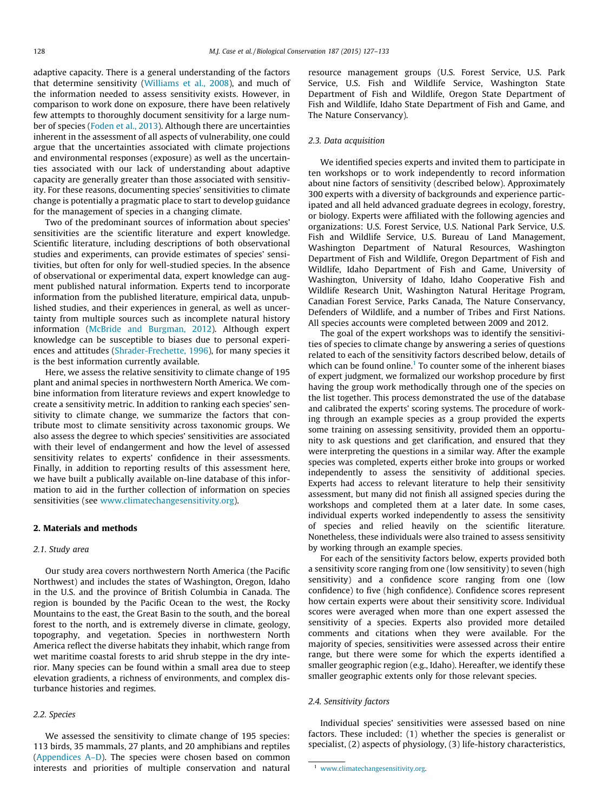adaptive capacity. There is a general understanding of the factors that determine sensitivity [\(Williams et al., 2008\)](#page-6-0), and much of the information needed to assess sensitivity exists. However, in comparison to work done on exposure, there have been relatively few attempts to thoroughly document sensitivity for a large number of species ([Foden et al., 2013\)](#page-6-0). Although there are uncertainties inherent in the assessment of all aspects of vulnerability, one could argue that the uncertainties associated with climate projections and environmental responses (exposure) as well as the uncertainties associated with our lack of understanding about adaptive capacity are generally greater than those associated with sensitivity. For these reasons, documenting species' sensitivities to climate change is potentially a pragmatic place to start to develop guidance for the management of species in a changing climate.

Two of the predominant sources of information about species' sensitivities are the scientific literature and expert knowledge. Scientific literature, including descriptions of both observational studies and experiments, can provide estimates of species' sensitivities, but often for only for well-studied species. In the absence of observational or experimental data, expert knowledge can augment published natural information. Experts tend to incorporate information from the published literature, empirical data, unpublished studies, and their experiences in general, as well as uncertainty from multiple sources such as incomplete natural history information [\(McBride and Burgman, 2012](#page-6-0)). Although expert knowledge can be susceptible to biases due to personal experiences and attitudes [\(Shrader-Frechette, 1996\)](#page-6-0), for many species it is the best information currently available.

Here, we assess the relative sensitivity to climate change of 195 plant and animal species in northwestern North America. We combine information from literature reviews and expert knowledge to create a sensitivity metric. In addition to ranking each species' sensitivity to climate change, we summarize the factors that contribute most to climate sensitivity across taxonomic groups. We also assess the degree to which species' sensitivities are associated with their level of endangerment and how the level of assessed sensitivity relates to experts' confidence in their assessments. Finally, in addition to reporting results of this assessment here, we have built a publically available on-line database of this information to aid in the further collection of information on species sensitivities (see [www.climatechangesensitivity.org\)](http://www.climatechangesensitivity.org).

# 2. Materials and methods

## 2.1. Study area

Our study area covers northwestern North America (the Pacific Northwest) and includes the states of Washington, Oregon, Idaho in the U.S. and the province of British Columbia in Canada. The region is bounded by the Pacific Ocean to the west, the Rocky Mountains to the east, the Great Basin to the south, and the boreal forest to the north, and is extremely diverse in climate, geology, topography, and vegetation. Species in northwestern North America reflect the diverse habitats they inhabit, which range from wet maritime coastal forests to arid shrub steppe in the dry interior. Many species can be found within a small area due to steep elevation gradients, a richness of environments, and complex disturbance histories and regimes.

## 2.2. Species

We assessed the sensitivity to climate change of 195 species: 113 birds, 35 mammals, 27 plants, and 20 amphibians and reptiles (Appendices A–D). The species were chosen based on common interests and priorities of multiple conservation and natural resource management groups (U.S. Forest Service, U.S. Park Service, U.S. Fish and Wildlife Service, Washington State Department of Fish and Wildlife, Oregon State Department of Fish and Wildlife, Idaho State Department of Fish and Game, and The Nature Conservancy).

## 2.3. Data acquisition

We identified species experts and invited them to participate in ten workshops or to work independently to record information about nine factors of sensitivity (described below). Approximately 300 experts with a diversity of backgrounds and experience participated and all held advanced graduate degrees in ecology, forestry, or biology. Experts were affiliated with the following agencies and organizations: U.S. Forest Service, U.S. National Park Service, U.S. Fish and Wildlife Service, U.S. Bureau of Land Management, Washington Department of Natural Resources, Washington Department of Fish and Wildlife, Oregon Department of Fish and Wildlife, Idaho Department of Fish and Game, University of Washington, University of Idaho, Idaho Cooperative Fish and Wildlife Research Unit, Washington Natural Heritage Program, Canadian Forest Service, Parks Canada, The Nature Conservancy, Defenders of Wildlife, and a number of Tribes and First Nations. All species accounts were completed between 2009 and 2012.

The goal of the expert workshops was to identify the sensitivities of species to climate change by answering a series of questions related to each of the sensitivity factors described below, details of which can be found online.<sup>1</sup> To counter some of the inherent biases of expert judgment, we formalized our workshop procedure by first having the group work methodically through one of the species on the list together. This process demonstrated the use of the database and calibrated the experts' scoring systems. The procedure of working through an example species as a group provided the experts some training on assessing sensitivity, provided them an opportunity to ask questions and get clarification, and ensured that they were interpreting the questions in a similar way. After the example species was completed, experts either broke into groups or worked independently to assess the sensitivity of additional species. Experts had access to relevant literature to help their sensitivity assessment, but many did not finish all assigned species during the workshops and completed them at a later date. In some cases, individual experts worked independently to assess the sensitivity of species and relied heavily on the scientific literature. Nonetheless, these individuals were also trained to assess sensitivity by working through an example species.

For each of the sensitivity factors below, experts provided both a sensitivity score ranging from one (low sensitivity) to seven (high sensitivity) and a confidence score ranging from one (low confidence) to five (high confidence). Confidence scores represent how certain experts were about their sensitivity score. Individual scores were averaged when more than one expert assessed the sensitivity of a species. Experts also provided more detailed comments and citations when they were available. For the majority of species, sensitivities were assessed across their entire range, but there were some for which the experts identified a smaller geographic region (e.g., Idaho). Hereafter, we identify these smaller geographic extents only for those relevant species.

## 2.4. Sensitivity factors

Individual species' sensitivities were assessed based on nine factors. These included: (1) whether the species is generalist or specialist, (2) aspects of physiology, (3) life-history characteristics,

<sup>1</sup> [www.climatechangesensitivity.org.](http://www.climatechangesensitivity.org)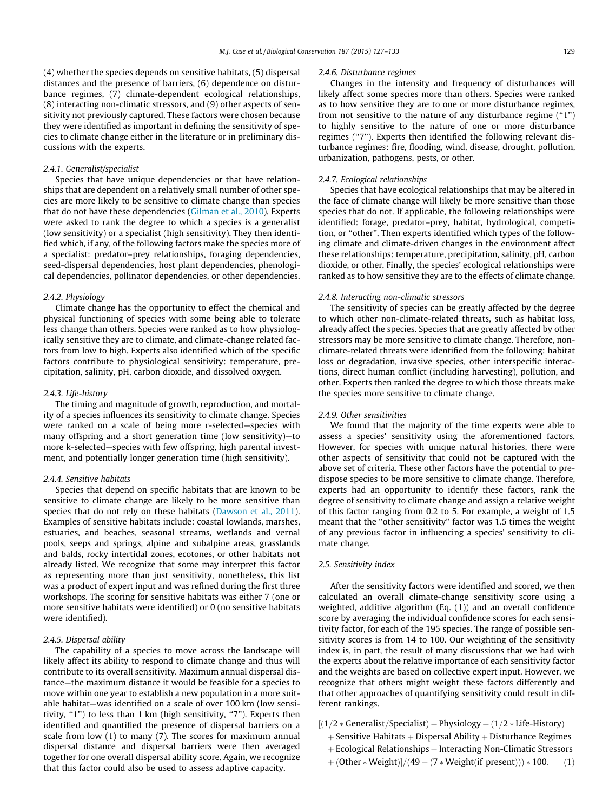(4) whether the species depends on sensitive habitats, (5) dispersal distances and the presence of barriers, (6) dependence on disturbance regimes, (7) climate-dependent ecological relationships, (8) interacting non-climatic stressors, and (9) other aspects of sensitivity not previously captured. These factors were chosen because they were identified as important in defining the sensitivity of species to climate change either in the literature or in preliminary discussions with the experts.

# 2.4.1. Generalist/specialist

Species that have unique dependencies or that have relationships that are dependent on a relatively small number of other species are more likely to be sensitive to climate change than species that do not have these dependencies ([Gilman et al., 2010](#page-6-0)). Experts were asked to rank the degree to which a species is a generalist (low sensitivity) or a specialist (high sensitivity). They then identified which, if any, of the following factors make the species more of a specialist: predator–prey relationships, foraging dependencies, seed-dispersal dependencies, host plant dependencies, phenological dependencies, pollinator dependencies, or other dependencies.

#### 2.4.2. Physiology

Climate change has the opportunity to effect the chemical and physical functioning of species with some being able to tolerate less change than others. Species were ranked as to how physiologically sensitive they are to climate, and climate-change related factors from low to high. Experts also identified which of the specific factors contribute to physiological sensitivity: temperature, precipitation, salinity, pH, carbon dioxide, and dissolved oxygen.

#### 2.4.3. Life-history

The timing and magnitude of growth, reproduction, and mortality of a species influences its sensitivity to climate change. Species were ranked on a scale of being more r-selected—species with many offspring and a short generation time (low sensitivity)—to more k-selected—species with few offspring, high parental investment, and potentially longer generation time (high sensitivity).

#### 2.4.4. Sensitive habitats

Species that depend on specific habitats that are known to be sensitive to climate change are likely to be more sensitive than species that do not rely on these habitats [\(Dawson et al., 2011\)](#page-6-0). Examples of sensitive habitats include: coastal lowlands, marshes, estuaries, and beaches, seasonal streams, wetlands and vernal pools, seeps and springs, alpine and subalpine areas, grasslands and balds, rocky intertidal zones, ecotones, or other habitats not already listed. We recognize that some may interpret this factor as representing more than just sensitivity, nonetheless, this list was a product of expert input and was refined during the first three workshops. The scoring for sensitive habitats was either 7 (one or more sensitive habitats were identified) or 0 (no sensitive habitats were identified).

## 2.4.5. Dispersal ability

The capability of a species to move across the landscape will likely affect its ability to respond to climate change and thus will contribute to its overall sensitivity. Maximum annual dispersal distance—the maximum distance it would be feasible for a species to move within one year to establish a new population in a more suitable habitat—was identified on a scale of over 100 km (low sensitivity, "1") to less than 1 km (high sensitivity, "7"). Experts then identified and quantified the presence of dispersal barriers on a scale from low (1) to many (7). The scores for maximum annual dispersal distance and dispersal barriers were then averaged together for one overall dispersal ability score. Again, we recognize that this factor could also be used to assess adaptive capacity.

#### 2.4.6. Disturbance regimes

Changes in the intensity and frequency of disturbances will likely affect some species more than others. Species were ranked as to how sensitive they are to one or more disturbance regimes, from not sensitive to the nature of any disturbance regime (''1'') to highly sensitive to the nature of one or more disturbance regimes ("7"). Experts then identified the following relevant disturbance regimes: fire, flooding, wind, disease, drought, pollution, urbanization, pathogens, pests, or other.

## 2.4.7. Ecological relationships

Species that have ecological relationships that may be altered in the face of climate change will likely be more sensitive than those species that do not. If applicable, the following relationships were identified: forage, predator–prey, habitat, hydrological, competition, or ''other''. Then experts identified which types of the following climate and climate-driven changes in the environment affect these relationships: temperature, precipitation, salinity, pH, carbon dioxide, or other. Finally, the species' ecological relationships were ranked as to how sensitive they are to the effects of climate change.

#### 2.4.8. Interacting non-climatic stressors

The sensitivity of species can be greatly affected by the degree to which other non-climate-related threats, such as habitat loss, already affect the species. Species that are greatly affected by other stressors may be more sensitive to climate change. Therefore, nonclimate-related threats were identified from the following: habitat loss or degradation, invasive species, other interspecific interactions, direct human conflict (including harvesting), pollution, and other. Experts then ranked the degree to which those threats make the species more sensitive to climate change.

## 2.4.9. Other sensitivities

We found that the majority of the time experts were able to assess a species' sensitivity using the aforementioned factors. However, for species with unique natural histories, there were other aspects of sensitivity that could not be captured with the above set of criteria. These other factors have the potential to predispose species to be more sensitive to climate change. Therefore, experts had an opportunity to identify these factors, rank the degree of sensitivity to climate change and assign a relative weight of this factor ranging from 0.2 to 5. For example, a weight of 1.5 meant that the ''other sensitivity'' factor was 1.5 times the weight of any previous factor in influencing a species' sensitivity to climate change.

## 2.5. Sensitivity index

After the sensitivity factors were identified and scored, we then calculated an overall climate-change sensitivity score using a weighted, additive algorithm (Eq. (1)) and an overall confidence score by averaging the individual confidence scores for each sensitivity factor, for each of the 195 species. The range of possible sensitivity scores is from 14 to 100. Our weighting of the sensitivity index is, in part, the result of many discussions that we had with the experts about the relative importance of each sensitivity factor and the weights are based on collective expert input. However, we recognize that others might weight these factors differently and that other approaches of quantifying sensitivity could result in different rankings.

- $[(1/2 * Generalist/Specialist) + Physics]$  +  $(1/2 * Life-History)$ 
	- $+$  Sensitive Habitats  $+$  Dispersal Ability  $+$  Disturbance Regimes
	- $+$  Ecological Relationships  $+$  Interacting Non-Climatic Stressors
	- $+$  (Other  $*$  Weight)]/(49 + (7  $*$  Weight(if present)))  $*$  100. (1)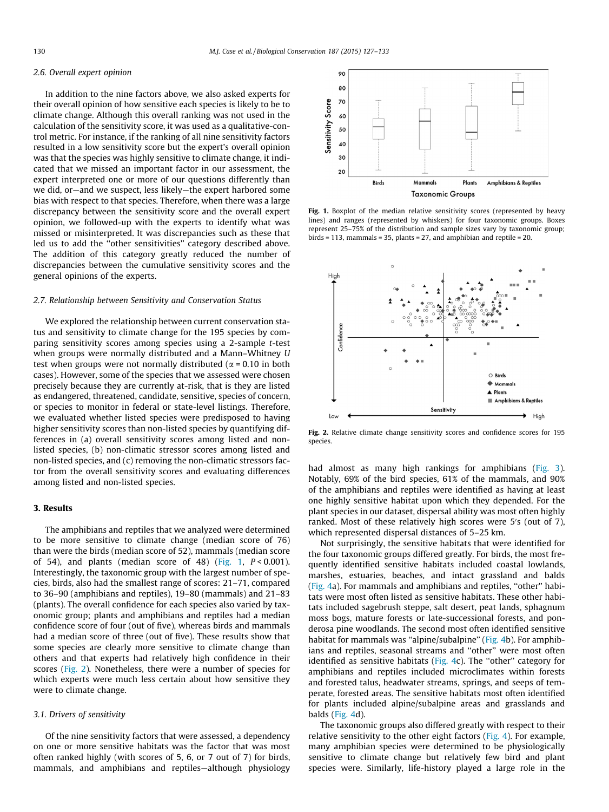#### <span id="page-3-0"></span>2.6. Overall expert opinion

In addition to the nine factors above, we also asked experts for their overall opinion of how sensitive each species is likely to be to climate change. Although this overall ranking was not used in the calculation of the sensitivity score, it was used as a qualitative-control metric. For instance, if the ranking of all nine sensitivity factors resulted in a low sensitivity score but the expert's overall opinion was that the species was highly sensitive to climate change, it indicated that we missed an important factor in our assessment, the expert interpreted one or more of our questions differently than we did, or—and we suspect, less likely—the expert harbored some bias with respect to that species. Therefore, when there was a large discrepancy between the sensitivity score and the overall expert opinion, we followed-up with the experts to identify what was missed or misinterpreted. It was discrepancies such as these that led us to add the ''other sensitivities'' category described above. The addition of this category greatly reduced the number of discrepancies between the cumulative sensitivity scores and the general opinions of the experts.

## 2.7. Relationship between Sensitivity and Conservation Status

We explored the relationship between current conservation status and sensitivity to climate change for the 195 species by comparing sensitivity scores among species using a 2-sample t-test when groups were normally distributed and a Mann–Whitney U test when groups were not normally distributed ( $\alpha$  = 0.10 in both cases). However, some of the species that we assessed were chosen precisely because they are currently at-risk, that is they are listed as endangered, threatened, candidate, sensitive, species of concern, or species to monitor in federal or state-level listings. Therefore, we evaluated whether listed species were predisposed to having higher sensitivity scores than non-listed species by quantifying differences in (a) overall sensitivity scores among listed and nonlisted species, (b) non-climatic stressor scores among listed and non-listed species, and (c) removing the non-climatic stressors factor from the overall sensitivity scores and evaluating differences among listed and non-listed species.

## 3. Results

The amphibians and reptiles that we analyzed were determined to be more sensitive to climate change (median score of 76) than were the birds (median score of 52), mammals (median score of 54), and plants (median score of 48) (Fig. 1,  $P < 0.001$ ). Interestingly, the taxonomic group with the largest number of species, birds, also had the smallest range of scores: 21–71, compared to 36–90 (amphibians and reptiles), 19–80 (mammals) and 21–83 (plants). The overall confidence for each species also varied by taxonomic group; plants and amphibians and reptiles had a median confidence score of four (out of five), whereas birds and mammals had a median score of three (out of five). These results show that some species are clearly more sensitive to climate change than others and that experts had relatively high confidence in their scores (Fig. 2). Nonetheless, there were a number of species for which experts were much less certain about how sensitive they were to climate change.

# 3.1. Drivers of sensitivity

Of the nine sensitivity factors that were assessed, a dependency on one or more sensitive habitats was the factor that was most often ranked highly (with scores of 5, 6, or 7 out of 7) for birds, mammals, and amphibians and reptiles—although physiology



Fig. 1. Boxplot of the median relative sensitivity scores (represented by heavy lines) and ranges (represented by whiskers) for four taxonomic groups. Boxes represent 25–75% of the distribution and sample sizes vary by taxonomic group; birds = 113, mammals = 35, plants = 27, and amphibian and reptile = 20.



Fig. 2. Relative climate change sensitivity scores and confidence scores for 195 species.

had almost as many high rankings for amphibians [\(Fig. 3\)](#page-4-0). Notably, 69% of the bird species, 61% of the mammals, and 90% of the amphibians and reptiles were identified as having at least one highly sensitive habitat upon which they depended. For the plant species in our dataset, dispersal ability was most often highly ranked. Most of these relatively high scores were 5's (out of 7), which represented dispersal distances of 5–25 km.

Not surprisingly, the sensitive habitats that were identified for the four taxonomic groups differed greatly. For birds, the most frequently identified sensitive habitats included coastal lowlands, marshes, estuaries, beaches, and intact grassland and balds ([Fig. 4a](#page-4-0)). For mammals and amphibians and reptiles, ''other'' habitats were most often listed as sensitive habitats. These other habitats included sagebrush steppe, salt desert, peat lands, sphagnum moss bogs, mature forests or late-successional forests, and ponderosa pine woodlands. The second most often identified sensitive habitat for mammals was "alpine/subalpine" ([Fig. 4b](#page-4-0)). For amphibians and reptiles, seasonal streams and ''other'' were most often identified as sensitive habitats [\(Fig. 4](#page-4-0)c). The "other" category for amphibians and reptiles included microclimates within forests and forested talus, headwater streams, springs, and seeps of temperate, forested areas. The sensitive habitats most often identified for plants included alpine/subalpine areas and grasslands and balds [\(Fig. 4d](#page-4-0)).

The taxonomic groups also differed greatly with respect to their relative sensitivity to the other eight factors ([Fig. 4](#page-4-0)). For example, many amphibian species were determined to be physiologically sensitive to climate change but relatively few bird and plant species were. Similarly, life-history played a large role in the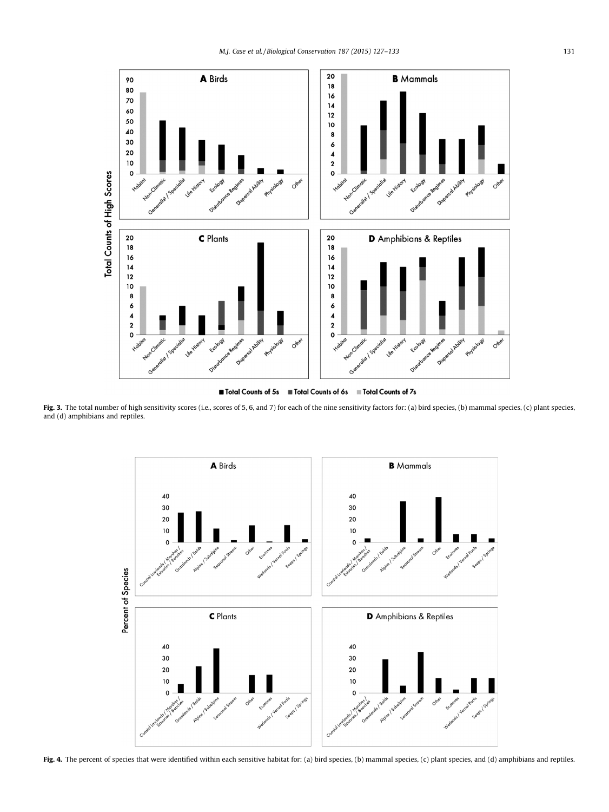<span id="page-4-0"></span>

Total Counts of 7s Total Counts of 5s ■ Total Counts of 6s

Fig. 3. The total number of high sensitivity scores (i.e., scores of 5, 6, and 7) for each of the nine sensitivity factors for: (a) bird species, (b) mammal species, (c) plant species, and (d) amphibians and reptiles.



Fig. 4. The percent of species that were identified within each sensitive habitat for: (a) bird species, (b) mammal species, (c) plant species, and (d) amphibians and reptiles.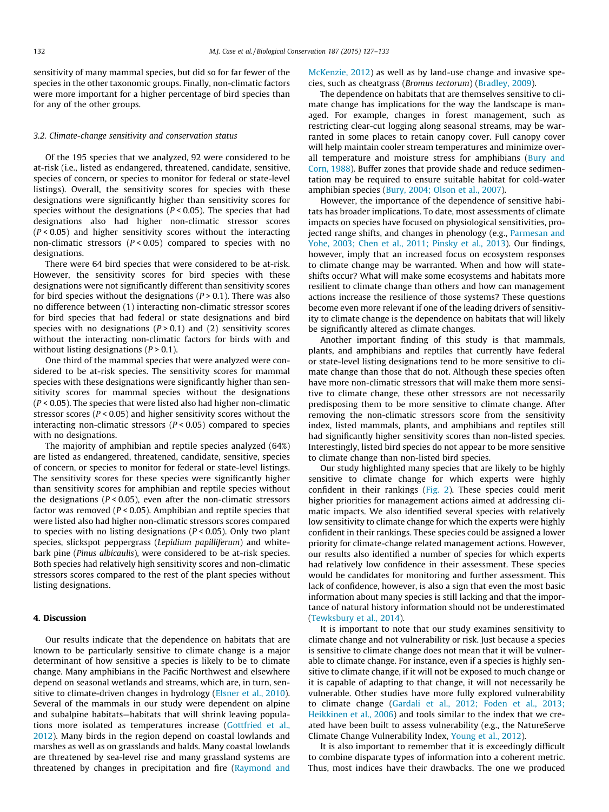sensitivity of many mammal species, but did so for far fewer of the species in the other taxonomic groups. Finally, non-climatic factors were more important for a higher percentage of bird species than for any of the other groups.

#### 3.2. Climate-change sensitivity and conservation status

Of the 195 species that we analyzed, 92 were considered to be at-risk (i.e., listed as endangered, threatened, candidate, sensitive, species of concern, or species to monitor for federal or state-level listings). Overall, the sensitivity scores for species with these designations were significantly higher than sensitivity scores for species without the designations ( $P < 0.05$ ). The species that had designations also had higher non-climatic stressor scores  $(P < 0.05)$  and higher sensitivity scores without the interacting non-climatic stressors ( $P < 0.05$ ) compared to species with no designations.

There were 64 bird species that were considered to be at-risk. However, the sensitivity scores for bird species with these designations were not significantly different than sensitivity scores for bird species without the designations ( $P > 0.1$ ). There was also no difference between (1) interacting non-climatic stressor scores for bird species that had federal or state designations and bird species with no designations  $(P > 0.1)$  and  $(2)$  sensitivity scores without the interacting non-climatic factors for birds with and without listing designations  $(P > 0.1)$ .

One third of the mammal species that were analyzed were considered to be at-risk species. The sensitivity scores for mammal species with these designations were significantly higher than sensitivity scores for mammal species without the designations  $(P < 0.05)$ . The species that were listed also had higher non-climatic stressor scores ( $P < 0.05$ ) and higher sensitivity scores without the interacting non-climatic stressors  $(P < 0.05)$  compared to species with no designations.

The majority of amphibian and reptile species analyzed (64%) are listed as endangered, threatened, candidate, sensitive, species of concern, or species to monitor for federal or state-level listings. The sensitivity scores for these species were significantly higher than sensitivity scores for amphibian and reptile species without the designations ( $P < 0.05$ ), even after the non-climatic stressors factor was removed ( $P < 0.05$ ). Amphibian and reptile species that were listed also had higher non-climatic stressors scores compared to species with no listing designations ( $P < 0.05$ ). Only two plant species, slickspot peppergrass (Lepidium papilliferum) and whitebark pine (Pinus albicaulis), were considered to be at-risk species. Both species had relatively high sensitivity scores and non-climatic stressors scores compared to the rest of the plant species without listing designations.

## 4. Discussion

Our results indicate that the dependence on habitats that are known to be particularly sensitive to climate change is a major determinant of how sensitive a species is likely to be to climate change. Many amphibians in the Pacific Northwest and elsewhere depend on seasonal wetlands and streams, which are, in turn, sensitive to climate-driven changes in hydrology [\(Elsner et al., 2010\)](#page-6-0). Several of the mammals in our study were dependent on alpine and subalpine habitats—habitats that will shrink leaving populations more isolated as temperatures increase [\(Gottfried et al.,](#page-6-0) [2012\)](#page-6-0). Many birds in the region depend on coastal lowlands and marshes as well as on grasslands and balds. Many coastal lowlands are threatened by sea-level rise and many grassland systems are threatened by changes in precipitation and fire ([Raymond and](#page-6-0) [McKenzie, 2012](#page-6-0)) as well as by land-use change and invasive species, such as cheatgrass (Bromus tectorum) ([Bradley, 2009\)](#page-6-0).

The dependence on habitats that are themselves sensitive to climate change has implications for the way the landscape is managed. For example, changes in forest management, such as restricting clear-cut logging along seasonal streams, may be warranted in some places to retain canopy cover. Full canopy cover will help maintain cooler stream temperatures and minimize over-all temperature and moisture stress for amphibians ([Bury and](#page-6-0) [Corn, 1988\)](#page-6-0). Buffer zones that provide shade and reduce sedimentation may be required to ensure suitable habitat for cold-water amphibian species ([Bury, 2004; Olson et al., 2007\)](#page-6-0).

However, the importance of the dependence of sensitive habitats has broader implications. To date, most assessments of climate impacts on species have focused on physiological sensitivities, projected range shifts, and changes in phenology (e.g., [Parmesan and](#page-6-0) [Yohe, 2003; Chen et al., 2011; Pinsky et al., 2013\)](#page-6-0). Our findings, however, imply that an increased focus on ecosystem responses to climate change may be warranted. When and how will stateshifts occur? What will make some ecosystems and habitats more resilient to climate change than others and how can management actions increase the resilience of those systems? These questions become even more relevant if one of the leading drivers of sensitivity to climate change is the dependence on habitats that will likely be significantly altered as climate changes.

Another important finding of this study is that mammals, plants, and amphibians and reptiles that currently have federal or state-level listing designations tend to be more sensitive to climate change than those that do not. Although these species often have more non-climatic stressors that will make them more sensitive to climate change, these other stressors are not necessarily predisposing them to be more sensitive to climate change. After removing the non-climatic stressors score from the sensitivity index, listed mammals, plants, and amphibians and reptiles still had significantly higher sensitivity scores than non-listed species. Interestingly, listed bird species do not appear to be more sensitive to climate change than non-listed bird species.

Our study highlighted many species that are likely to be highly sensitive to climate change for which experts were highly confident in their rankings ([Fig. 2](#page-3-0)). These species could merit higher priorities for management actions aimed at addressing climatic impacts. We also identified several species with relatively low sensitivity to climate change for which the experts were highly confident in their rankings. These species could be assigned a lower priority for climate-change related management actions. However, our results also identified a number of species for which experts had relatively low confidence in their assessment. These species would be candidates for monitoring and further assessment. This lack of confidence, however, is also a sign that even the most basic information about many species is still lacking and that the importance of natural history information should not be underestimated ([Tewksbury et al., 2014](#page-6-0)).

It is important to note that our study examines sensitivity to climate change and not vulnerability or risk. Just because a species is sensitive to climate change does not mean that it will be vulnerable to climate change. For instance, even if a species is highly sensitive to climate change, if it will not be exposed to much change or it is capable of adapting to that change, it will not necessarily be vulnerable. Other studies have more fully explored vulnerability to climate change ([Gardali et al., 2012; Foden et al., 2013;](#page-6-0) [Heikkinen et al., 2006\)](#page-6-0) and tools similar to the index that we created have been built to assess vulnerability (e.g., the NatureServe Climate Change Vulnerability Index, [Young et al., 2012](#page-6-0)).

It is also important to remember that it is exceedingly difficult to combine disparate types of information into a coherent metric. Thus, most indices have their drawbacks. The one we produced